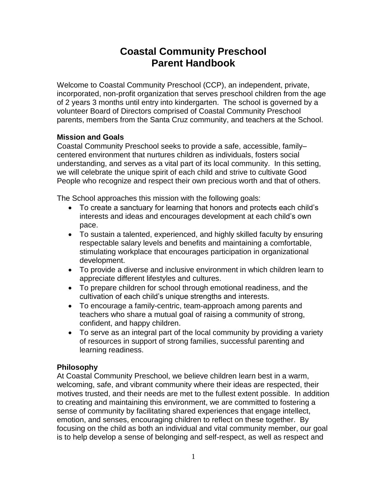# **Coastal Community Preschool Parent Handbook**

Welcome to Coastal Community Preschool (CCP), an independent, private, incorporated, non-profit organization that serves preschool children from the age of 2 years 3 months until entry into kindergarten. The school is governed by a volunteer Board of Directors comprised of Coastal Community Preschool parents, members from the Santa Cruz community, and teachers at the School.

# **Mission and Goals**

Coastal Community Preschool seeks to provide a safe, accessible, family– centered environment that nurtures children as individuals, fosters social understanding, and serves as a vital part of its local community. In this setting, we will celebrate the unique spirit of each child and strive to cultivate Good People who recognize and respect their own precious worth and that of others.

The School approaches this mission with the following goals:

- To create a sanctuary for learning that honors and protects each child's interests and ideas and encourages development at each child's own pace.
- To sustain a talented, experienced, and highly skilled faculty by ensuring respectable salary levels and benefits and maintaining a comfortable, stimulating workplace that encourages participation in organizational development.
- To provide a diverse and inclusive environment in which children learn to appreciate different lifestyles and cultures.
- To prepare children for school through emotional readiness, and the cultivation of each child's unique strengths and interests.
- To encourage a family-centric, team-approach among parents and teachers who share a mutual goal of raising a community of strong, confident, and happy children.
- To serve as an integral part of the local community by providing a variety of resources in support of strong families, successful parenting and learning readiness.

# **Philosophy**

At Coastal Community Preschool, we believe children learn best in a warm, welcoming, safe, and vibrant community where their ideas are respected, their motives trusted, and their needs are met to the fullest extent possible. In addition to creating and maintaining this environment, we are committed to fostering a sense of community by facilitating shared experiences that engage intellect, emotion, and senses, encouraging children to reflect on these together. By focusing on the child as both an individual and vital community member, our goal is to help develop a sense of belonging and self-respect, as well as respect and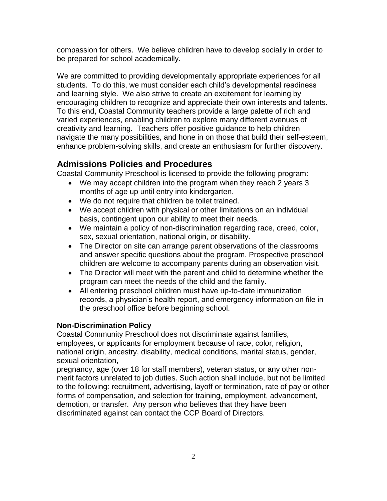compassion for others. We believe children have to develop socially in order to be prepared for school academically.

We are committed to providing developmentally appropriate experiences for all students. To do this, we must consider each child's developmental readiness and learning style. We also strive to create an excitement for learning by encouraging children to recognize and appreciate their own interests and talents. To this end, Coastal Community teachers provide a large palette of rich and varied experiences, enabling children to explore many different avenues of creativity and learning. Teachers offer positive guidance to help children navigate the many possibilities, and hone in on those that build their self-esteem, enhance problem-solving skills, and create an enthusiasm for further discovery.

# **Admissions Policies and Procedures**

Coastal Community Preschool is licensed to provide the following program:

- We may accept children into the program when they reach 2 years 3 months of age up until entry into kindergarten.
- We do not require that children be toilet trained.
- We accept children with physical or other limitations on an individual basis, contingent upon our ability to meet their needs.
- We maintain a policy of non-discrimination regarding race, creed, color, sex, sexual orientation, national origin, or disability.
- The Director on site can arrange parent observations of the classrooms and answer specific questions about the program. Prospective preschool children are welcome to accompany parents during an observation visit.
- The Director will meet with the parent and child to determine whether the program can meet the needs of the child and the family.
- All entering preschool children must have up-to-date immunization records, a physician's health report, and emergency information on file in the preschool office before beginning school.

# **Non-Discrimination Policy**

Coastal Community Preschool does not discriminate against families, employees, or applicants for employment because of race, color, religion, national origin, ancestry, disability, medical conditions, marital status, gender, sexual orientation,

pregnancy, age (over 18 for staff members), veteran status, or any other nonmerit factors unrelated to job duties. Such action shall include, but not be limited to the following: recruitment, advertising, layoff or termination, rate of pay or other forms of compensation, and selection for training, employment, advancement, demotion, or transfer. Any person who believes that they have been discriminated against can contact the CCP Board of Directors.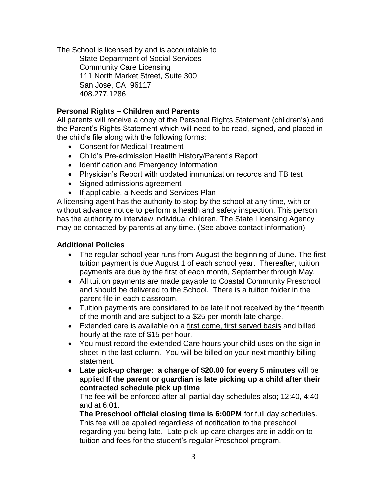The School is licensed by and is accountable to

State Department of Social Services Community Care Licensing 111 North Market Street, Suite 300 San Jose, CA 96117 408.277.1286

# **Personal Rights – Children and Parents**

All parents will receive a copy of the Personal Rights Statement (children's) and the Parent's Rights Statement which will need to be read, signed, and placed in the child's file along with the following forms:

- Consent for Medical Treatment
- Child's Pre-admission Health History/Parent's Report
- Identification and Emergency Information
- Physician's Report with updated immunization records and TB test
- Signed admissions agreement
- If applicable, a Needs and Services Plan

A licensing agent has the authority to stop by the school at any time, with or without advance notice to perform a health and safety inspection. This person has the authority to interview individual children. The State Licensing Agency may be contacted by parents at any time. (See above contact information)

# **Additional Policies**

- The regular school year runs from August-the beginning of June. The first tuition payment is due August 1 of each school year. Thereafter, tuition payments are due by the first of each month, September through May.
- All tuition payments are made payable to Coastal Community Preschool and should be delivered to the School. There is a tuition folder in the parent file in each classroom.
- Tuition payments are considered to be late if not received by the fifteenth of the month and are subject to a \$25 per month late charge.
- Extended care is available on a first come, first served basis and billed hourly at the rate of \$15 per hour.
- You must record the extended Care hours your child uses on the sign in sheet in the last column. You will be billed on your next monthly billing statement.
- **Late pick-up charge: a charge of \$20.00 for every 5 minutes** will be applied **If the parent or guardian is late picking up a child after their contracted schedule pick up time**

The fee will be enforced after all partial day schedules also; 12:40, 4:40 and at 6:01.

**The Preschool official closing time is 6:00PM** for full day schedules. This fee will be applied regardless of notification to the preschool regarding you being late. Late pick-up care charges are in addition to tuition and fees for the student's regular Preschool program.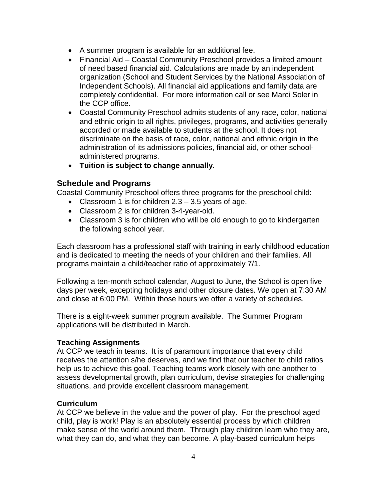- A summer program is available for an additional fee.
- Financial Aid Coastal Community Preschool provides a limited amount of need based financial aid. Calculations are made by an independent organization (School and Student Services by the National Association of Independent Schools). All financial aid applications and family data are completely confidential. For more information call or see Marci Soler in the CCP office.
- Coastal Community Preschool admits students of any race, color, national and ethnic origin to all rights, privileges, programs, and activities generally accorded or made available to students at the school. It does not discriminate on the basis of race, color, national and ethnic origin in the administration of its admissions policies, financial aid, or other schooladministered programs.
- **Tuition is subject to change annually.**

# **Schedule and Programs**

Coastal Community Preschool offers three programs for the preschool child:

- Classroom 1 is for children  $2.3 3.5$  years of age.
- Classroom 2 is for children 3-4-year-old.
- Classroom 3 is for children who will be old enough to go to kindergarten the following school year.

Each classroom has a professional staff with training in early childhood education and is dedicated to meeting the needs of your children and their families. All programs maintain a child/teacher ratio of approximately 7/1.

Following a ten-month school calendar, August to June, the School is open five days per week, excepting holidays and other closure dates. We open at 7:30 AM and close at 6:00 PM. Within those hours we offer a variety of schedules.

There is a eight-week summer program available. The Summer Program applications will be distributed in March.

# **Teaching Assignments**

At CCP we teach in teams. It is of paramount importance that every child receives the attention s/he deserves, and we find that our teacher to child ratios help us to achieve this goal. Teaching teams work closely with one another to assess developmental growth, plan curriculum, devise strategies for challenging situations, and provide excellent classroom management.

# **Curriculum**

At CCP we believe in the value and the power of play. For the preschool aged child, play is work! Play is an absolutely essential process by which children make sense of the world around them. Through play children learn who they are, what they can do, and what they can become. A play-based curriculum helps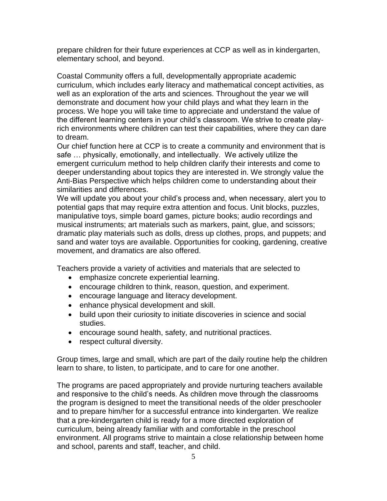prepare children for their future experiences at CCP as well as in kindergarten, elementary school, and beyond.

Coastal Community offers a full, developmentally appropriate academic curriculum, which includes early literacy and mathematical concept activities, as well as an exploration of the arts and sciences. Throughout the year we will demonstrate and document how your child plays and what they learn in the process. We hope you will take time to appreciate and understand the value of the different learning centers in your child's classroom. We strive to create playrich environments where children can test their capabilities, where they can dare to dream.

Our chief function here at CCP is to create a community and environment that is safe … physically, emotionally, and intellectually. We actively utilize the emergent curriculum method to help children clarify their interests and come to deeper understanding about topics they are interested in. We strongly value the Anti-Bias Perspective which helps children come to understanding about their similarities and differences.

We will update you about your child's process and, when necessary, alert you to potential gaps that may require extra attention and focus. Unit blocks, puzzles, manipulative toys, simple board games, picture books; audio recordings and musical instruments; art materials such as markers, paint, glue, and scissors; dramatic play materials such as dolls, dress up clothes, props, and puppets; and sand and water toys are available. Opportunities for cooking, gardening, creative movement, and dramatics are also offered.

Teachers provide a variety of activities and materials that are selected to

- emphasize concrete experiential learning.
- encourage children to think, reason, question, and experiment.
- encourage language and literacy development.
- enhance physical development and skill.
- build upon their curiosity to initiate discoveries in science and social studies.
- encourage sound health, safety, and nutritional practices.
- respect cultural diversity.

Group times, large and small, which are part of the daily routine help the children learn to share, to listen, to participate, and to care for one another.

The programs are paced appropriately and provide nurturing teachers available and responsive to the child's needs. As children move through the classrooms the program is designed to meet the transitional needs of the older preschooler and to prepare him/her for a successful entrance into kindergarten. We realize that a pre-kindergarten child is ready for a more directed exploration of curriculum, being already familiar with and comfortable in the preschool environment. All programs strive to maintain a close relationship between home and school, parents and staff, teacher, and child.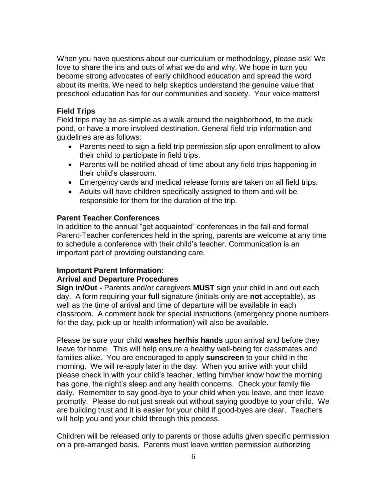When you have questions about our curriculum or methodology, please ask! We love to share the ins and outs of what we do and why. We hope in turn you become strong advocates of early childhood education and spread the word about its merits. We need to help skeptics understand the genuine value that preschool education has for our communities and society. Your voice matters!

### **Field Trips**

Field trips may be as simple as a walk around the neighborhood, to the duck pond, or have a more involved destination. General field trip information and guidelines are as follows:

- Parents need to sign a field trip permission slip upon enrollment to allow their child to participate in field trips.
- Parents will be notified ahead of time about any field trips happening in their child's classroom.
- Emergency cards and medical release forms are taken on all field trips.
- Adults will have children specifically assigned to them and will be responsible for them for the duration of the trip.

### **Parent Teacher Conferences**

In addition to the annual "get acquainted" conferences in the fall and formal Parent-Teacher conferences held in the spring, parents are welcome at any time to schedule a conference with their child's teacher. Communication is an important part of providing outstanding care.

#### **Important Parent Information:**

#### **Arrival and Departure Procedures**

**Sign in/Out -** Parents and/or caregivers **MUST** sign your child in and out each day. A form requiring your **full** signature (initials only are **not** acceptable), as well as the time of arrival and time of departure will be available in each classroom. A comment book for special instructions (emergency phone numbers for the day, pick-up or health information) will also be available.

Please be sure your child **washes her/his hands** upon arrival and before they leave for home. This will help ensure a healthy well-being for classmates and families alike. You are encouraged to apply **sunscreen** to your child in the morning. We will re-apply later in the day. When you arrive with your child please check in with your child's teacher, letting him/her know how the morning has gone, the night's sleep and any health concerns. Check your family file daily. Remember to say good-bye to your child when you leave, and then leave promptly. Please do not just sneak out without saying goodbye to your child. We are building trust and it is easier for your child if good-byes are clear. Teachers will help you and your child through this process.

Children will be released only to parents or those adults given specific permission on a pre-arranged basis. Parents must leave written permission authorizing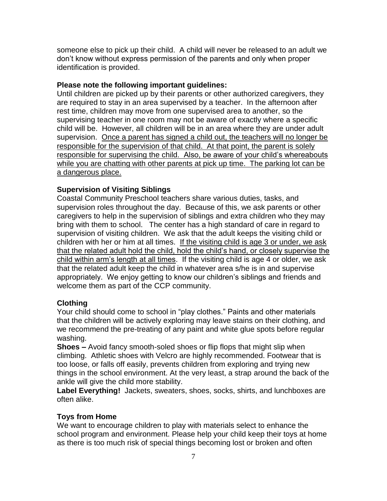someone else to pick up their child. A child will never be released to an adult we don't know without express permission of the parents and only when proper identification is provided.

### **Please note the following important guidelines:**

Until children are picked up by their parents or other authorized caregivers, they are required to stay in an area supervised by a teacher. In the afternoon after rest time, children may move from one supervised area to another, so the supervising teacher in one room may not be aware of exactly where a specific child will be. However, all children will be in an area where they are under adult supervision. Once a parent has signed a child out, the teachers will no longer be responsible for the supervision of that child. At that point, the parent is solely responsible for supervising the child. Also, be aware of your child's whereabouts while you are chatting with other parents at pick up time. The parking lot can be a dangerous place.

# **Supervision of Visiting Siblings**

Coastal Community Preschool teachers share various duties, tasks, and supervision roles throughout the day. Because of this, we ask parents or other caregivers to help in the supervision of siblings and extra children who they may bring with them to school. The center has a high standard of care in regard to supervision of visiting children. We ask that the adult keeps the visiting child or children with her or him at all times. If the visiting child is age 3 or under, we ask that the related adult hold the child, hold the child's hand, or closely supervise the child within arm's length at all times. If the visiting child is age 4 or older, we ask that the related adult keep the child in whatever area s/he is in and supervise appropriately. We enjoy getting to know our children's siblings and friends and welcome them as part of the CCP community.

#### **Clothing**

Your child should come to school in "play clothes." Paints and other materials that the children will be actively exploring may leave stains on their clothing, and we recommend the pre-treating of any paint and white glue spots before regular washing.

**Shoes –** Avoid fancy smooth-soled shoes or flip flops that might slip when climbing. Athletic shoes with Velcro are highly recommended. Footwear that is too loose, or falls off easily, prevents children from exploring and trying new things in the school environment. At the very least, a strap around the back of the ankle will give the child more stability.

**Label Everything!** Jackets, sweaters, shoes, socks, shirts, and lunchboxes are often alike.

# **Toys from Home**

We want to encourage children to play with materials select to enhance the school program and environment. Please help your child keep their toys at home as there is too much risk of special things becoming lost or broken and often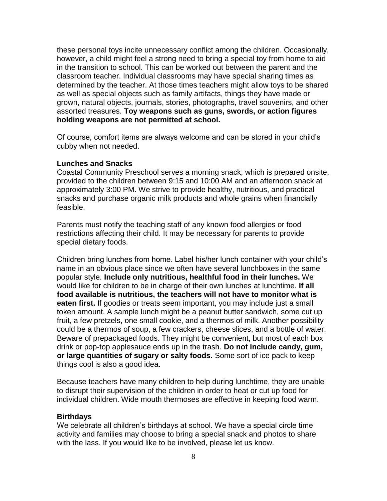these personal toys incite unnecessary conflict among the children. Occasionally, however, a child might feel a strong need to bring a special toy from home to aid in the transition to school. This can be worked out between the parent and the classroom teacher. Individual classrooms may have special sharing times as determined by the teacher. At those times teachers might allow toys to be shared as well as special objects such as family artifacts, things they have made or grown, natural objects, journals, stories, photographs, travel souvenirs, and other assorted treasures. **Toy weapons such as guns, swords, or action figures holding weapons are not permitted at school.**

Of course, comfort items are always welcome and can be stored in your child's cubby when not needed.

#### **Lunches and Snacks**

Coastal Community Preschool serves a morning snack, which is prepared onsite, provided to the children between 9:15 and 10:00 AM and an afternoon snack at approximately 3:00 PM. We strive to provide healthy, nutritious, and practical snacks and purchase organic milk products and whole grains when financially feasible.

Parents must notify the teaching staff of any known food allergies or food restrictions affecting their child. It may be necessary for parents to provide special dietary foods.

Children bring lunches from home. Label his/her lunch container with your child's name in an obvious place since we often have several lunchboxes in the same popular style. **Include only nutritious, healthful food in their lunches.** We would like for children to be in charge of their own lunches at lunchtime. **If all food available is nutritious, the teachers will not have to monitor what is eaten first.** If goodies or treats seem important, you may include just a small token amount. A sample lunch might be a peanut butter sandwich, some cut up fruit, a few pretzels, one small cookie, and a thermos of milk. Another possibility could be a thermos of soup, a few crackers, cheese slices, and a bottle of water. Beware of prepackaged foods. They might be convenient, but most of each box drink or pop-top applesauce ends up in the trash. **Do not include candy, gum, or large quantities of sugary or salty foods.** Some sort of ice pack to keep things cool is also a good idea.

Because teachers have many children to help during lunchtime, they are unable to disrupt their supervision of the children in order to heat or cut up food for individual children. Wide mouth thermoses are effective in keeping food warm.

#### **Birthdays**

We celebrate all children's birthdays at school. We have a special circle time activity and families may choose to bring a special snack and photos to share with the lass. If you would like to be involved, please let us know.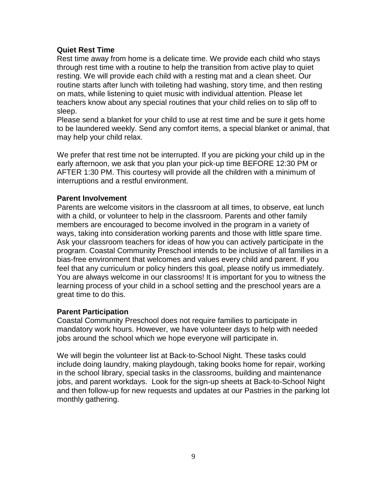#### **Quiet Rest Time**

Rest time away from home is a delicate time. We provide each child who stays through rest time with a routine to help the transition from active play to quiet resting. We will provide each child with a resting mat and a clean sheet. Our routine starts after lunch with toileting had washing, story time, and then resting on mats, while listening to quiet music with individual attention. Please let teachers know about any special routines that your child relies on to slip off to sleep.

Please send a blanket for your child to use at rest time and be sure it gets home to be laundered weekly. Send any comfort items, a special blanket or animal, that may help your child relax.

We prefer that rest time not be interrupted. If you are picking your child up in the early afternoon, we ask that you plan your pick-up time BEFORE 12:30 PM or AFTER 1:30 PM. This courtesy will provide all the children with a minimum of interruptions and a restful environment.

#### **Parent Involvement**

Parents are welcome visitors in the classroom at all times, to observe, eat lunch with a child, or volunteer to help in the classroom. Parents and other family members are encouraged to become involved in the program in a variety of ways, taking into consideration working parents and those with little spare time. Ask your classroom teachers for ideas of how you can actively participate in the program. Coastal Community Preschool intends to be inclusive of all families in a bias-free environment that welcomes and values every child and parent. If you feel that any curriculum or policy hinders this goal, please notify us immediately. You are always welcome in our classrooms! It is important for you to witness the learning process of your child in a school setting and the preschool years are a great time to do this.

#### **Parent Participation**

Coastal Community Preschool does not require families to participate in mandatory work hours. However, we have volunteer days to help with needed jobs around the school which we hope everyone will participate in.

We will begin the volunteer list at Back-to-School Night. These tasks could include doing laundry, making playdough, taking books home for repair, working in the school library, special tasks in the classrooms, building and maintenance jobs, and parent workdays. Look for the sign-up sheets at Back-to-School Night and then follow-up for new requests and updates at our Pastries in the parking lot monthly gathering.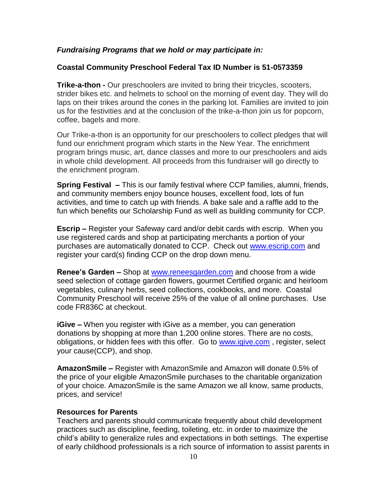### *Fundraising Programs that we hold or may participate in:*

### **Coastal Community Preschool Federal Tax ID Number is 51-0573359**

**Trike-a-thon -** Our preschoolers are invited to bring their tricycles, scooters, strider bikes etc. and helmets to school on the morning of event day. They will do laps on their trikes around the cones in the parking lot. Families are invited to join us for the festivities and at the conclusion of the trike-a-thon join us for popcorn, coffee, bagels and more.

Our Trike-a-thon is an opportunity for our preschoolers to collect pledges that will fund our enrichment program which starts in the New Year. The enrichment program brings music, art, dance classes and more to our preschoolers and aids in whole child development. All proceeds from this fundraiser will go directly to the enrichment program.

**Spring Festival –** This is our family festival where CCP families, alumni, friends, and community members enjoy bounce houses, excellent food, lots of fun activities, and time to catch up with friends. A bake sale and a raffle add to the fun which benefits our Scholarship Fund as well as building community for CCP.

**Escrip –** Register your Safeway card and/or debit cards with escrip. When you use registered cards and shop at participating merchants a portion of your purchases are automatically donated to CCP. Check out [www.escrip.com](http://www.escrip.com/) and register your card(s) finding CCP on the drop down menu.

**Renee's Garden –** Shop at [www.reneesgarden.com](http://www.reneesgarden.com/) and choose from a wide seed selection of cottage garden flowers, gourmet Certified organic and heirloom vegetables, culinary herbs, seed collections, cookbooks, and more. Coastal Community Preschool will receive 25% of the value of all online purchases. Use code FR836C at checkout.

**iGive –** When you register with iGive as a member, you can generation donations by shopping at more than 1,200 online stores. There are no costs, obligations, or hidden fees with this offer. Go to [www.igive.com](http://www.igive.com/) , register, select your cause(CCP), and shop.

**AmazonSmile –** Register with AmazonSmile and Amazon will donate 0.5% of the price of your eligible AmazonSmile purchases to the charitable organization of your choice. AmazonSmile is the same Amazon we all know, same products, prices, and service!

#### **Resources for Parents**

Teachers and parents should communicate frequently about child development practices such as discipline, feeding, toileting, etc. in order to maximize the child's ability to generalize rules and expectations in both settings. The expertise of early childhood professionals is a rich source of information to assist parents in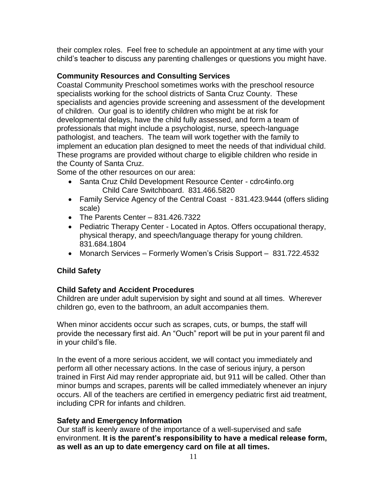their complex roles. Feel free to schedule an appointment at any time with your child's teacher to discuss any parenting challenges or questions you might have.

# **Community Resources and Consulting Services**

Coastal Community Preschool sometimes works with the preschool resource specialists working for the school districts of Santa Cruz County. These specialists and agencies provide screening and assessment of the development of children. Our goal is to identify children who might be at risk for developmental delays, have the child fully assessed, and form a team of professionals that might include a psychologist, nurse, speech-language pathologist, and teachers. The team will work together with the family to implement an education plan designed to meet the needs of that individual child. These programs are provided without charge to eligible children who reside in the County of Santa Cruz.

Some of the other resources on our area:

- Santa Cruz Child Development Resource Center cdrc4info.org Child Care Switchboard. 831.466.5820
- Family Service Agency of the Central Coast 831.423.9444 (offers sliding scale)
- $\bullet$  The Parents Center 831.426.7322
- Pediatric Therapy Center Located in Aptos. Offers occupational therapy, physical therapy, and speech/language therapy for young children. 831.684.1804
- Monarch Services Formerly Women's Crisis Support 831.722.4532

# **Child Safety**

# **Child Safety and Accident Procedures**

Children are under adult supervision by sight and sound at all times. Wherever children go, even to the bathroom, an adult accompanies them.

When minor accidents occur such as scrapes, cuts, or bumps, the staff will provide the necessary first aid. An "Ouch" report will be put in your parent fil and in your child's file.

In the event of a more serious accident, we will contact you immediately and perform all other necessary actions. In the case of serious injury, a person trained in First Aid may render appropriate aid, but 911 will be called. Other than minor bumps and scrapes, parents will be called immediately whenever an injury occurs. All of the teachers are certified in emergency pediatric first aid treatment, including CPR for infants and children.

# **Safety and Emergency Information**

Our staff is keenly aware of the importance of a well-supervised and safe environment. **It is the parent's responsibility to have a medical release form, as well as an up to date emergency card on file at all times.**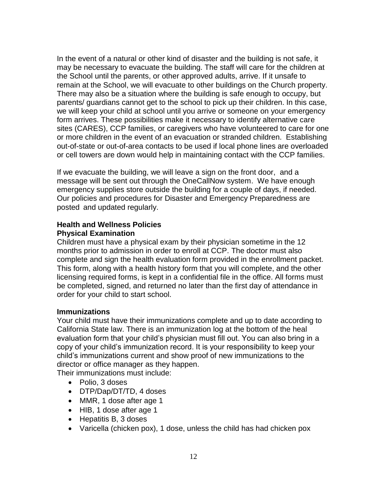In the event of a natural or other kind of disaster and the building is not safe, it may be necessary to evacuate the building. The staff will care for the children at the School until the parents, or other approved adults, arrive. If it unsafe to remain at the School, we will evacuate to other buildings on the Church property. There may also be a situation where the building is safe enough to occupy, but parents/ guardians cannot get to the school to pick up their children. In this case, we will keep your child at school until you arrive or someone on your emergency form arrives. These possibilities make it necessary to identify alternative care sites (CARES), CCP families, or caregivers who have volunteered to care for one or more children in the event of an evacuation or stranded children. Establishing out-of-state or out-of-area contacts to be used if local phone lines are overloaded or cell towers are down would help in maintaining contact with the CCP families.

If we evacuate the building, we will leave a sign on the front door, and a message will be sent out through the OneCallNow system. We have enough emergency supplies store outside the building for a couple of days, if needed. Our policies and procedures for Disaster and Emergency Preparedness are posted and updated regularly.

# **Health and Wellness Policies Physical Examination**

Children must have a physical exam by their physician sometime in the 12 months prior to admission in order to enroll at CCP. The doctor must also complete and sign the health evaluation form provided in the enrollment packet. This form, along with a health history form that you will complete, and the other licensing required forms, is kept in a confidential file in the office. All forms must be completed, signed, and returned no later than the first day of attendance in order for your child to start school.

# **Immunizations**

Your child must have their immunizations complete and up to date according to California State law. There is an immunization log at the bottom of the heal evaluation form that your child's physician must fill out. You can also bring in a copy of your child's immunization record. It is your responsibility to keep your child's immunizations current and show proof of new immunizations to the director or office manager as they happen.

Their immunizations must include:

- Polio, 3 doses
- DTP/Dap/DT/TD, 4 doses
- MMR, 1 dose after age 1
- HIB, 1 dose after age 1
- Hepatitis B, 3 doses
- Varicella (chicken pox), 1 dose, unless the child has had chicken pox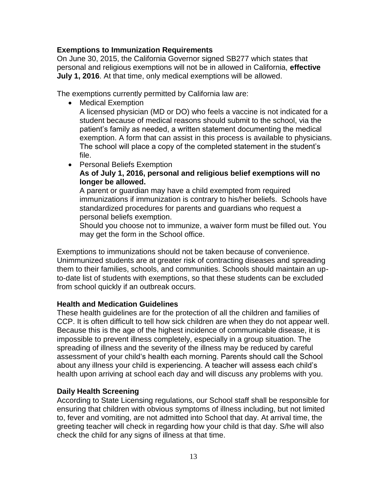#### **Exemptions to Immunization Requirements**

On June 30, 2015, the California Governor signed SB277 which states that personal and religious exemptions will not be in allowed in California, **effective July 1, 2016**. At that time, only medical exemptions will be allowed.

The exemptions currently permitted by California law are:

• Medical Exemption

A licensed physician (MD or DO) who feels a vaccine is not indicated for a student because of medical reasons should submit to the school, via the patient's family as needed, a written statement documenting the medical exemption. A form that can assist in this process is available to physicians. The school will place a copy of the completed statement in the student's file.

• Personal Beliefs Exemption

### **As of July 1, 2016, personal and religious belief exemptions will no longer be allowed.**

A parent or guardian may have a child exempted from required immunizations if immunization is contrary to his/her beliefs. Schools have standardized procedures for parents and guardians who request a personal beliefs exemption.

Should you choose not to immunize, a waiver form must be filled out. You may get the form in the School office.

Exemptions to immunizations should not be taken because of convenience. Unimmunized students are at greater risk of contracting diseases and spreading them to their families, schools, and communities. Schools should maintain an upto-date list of students with exemptions, so that these students can be excluded from school quickly if an outbreak occurs.

#### **Health and Medication Guidelines**

These health guidelines are for the protection of all the children and families of CCP. It is often difficult to tell how sick children are when they do not appear well. Because this is the age of the highest incidence of communicable disease, it is impossible to prevent illness completely, especially in a group situation. The spreading of illness and the severity of the illness may be reduced by careful assessment of your child's health each morning. Parents should call the School about any illness your child is experiencing. A teacher will assess each child's health upon arriving at school each day and will discuss any problems with you.

#### **Daily Health Screening**

According to State Licensing regulations, our School staff shall be responsible for ensuring that children with obvious symptoms of illness including, but not limited to, fever and vomiting, are not admitted into School that day. At arrival time, the greeting teacher will check in regarding how your child is that day. S/he will also check the child for any signs of illness at that time.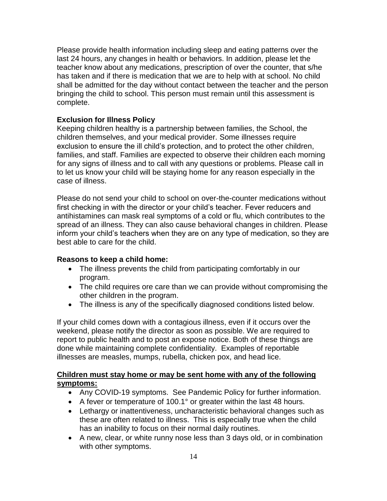Please provide health information including sleep and eating patterns over the last 24 hours, any changes in health or behaviors. In addition, please let the teacher know about any medications, prescription of over the counter, that s/he has taken and if there is medication that we are to help with at school. No child shall be admitted for the day without contact between the teacher and the person bringing the child to school. This person must remain until this assessment is complete.

### **Exclusion for Illness Policy**

Keeping children healthy is a partnership between families, the School, the children themselves, and your medical provider. Some illnesses require exclusion to ensure the ill child's protection, and to protect the other children, families, and staff. Families are expected to observe their children each morning for any signs of illness and to call with any questions or problems. Please call in to let us know your child will be staying home for any reason especially in the case of illness.

Please do not send your child to school on over-the-counter medications without first checking in with the director or your child's teacher. Fever reducers and antihistamines can mask real symptoms of a cold or flu, which contributes to the spread of an illness. They can also cause behavioral changes in children. Please inform your child's teachers when they are on any type of medication, so they are best able to care for the child.

#### **Reasons to keep a child home:**

- The illness prevents the child from participating comfortably in our program.
- The child requires ore care than we can provide without compromising the other children in the program.
- The illness is any of the specifically diagnosed conditions listed below.

If your child comes down with a contagious illness, even if it occurs over the weekend, please notify the director as soon as possible. We are required to report to public health and to post an expose notice. Both of these things are done while maintaining complete confidentiality. Examples of reportable illnesses are measles, mumps, rubella, chicken pox, and head lice.

# **Children must stay home or may be sent home with any of the following symptoms:**

- Any COVID-19 symptoms. See Pandemic Policy for further information.
- A fever or temperature of 100.1° or greater within the last 48 hours.
- Lethargy or inattentiveness, uncharacteristic behavioral changes such as these are often related to illness. This is especially true when the child has an inability to focus on their normal daily routines.
- A new, clear, or white runny nose less than 3 days old, or in combination with other symptoms.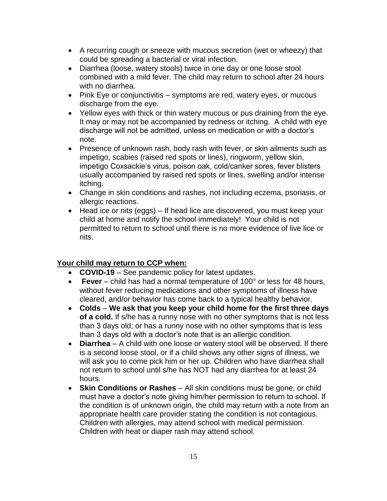- A recurring cough or sneeze with mucous secretion (wet or wheezy) that could be spreading a bacterial or viral infection.
- Diarrhea (loose, watery stools) twice in one day or one loose stool combined with a mild fever. The child may return to school after 24 hours with no diarrhea.
- Pink Eye or conjunctivitis symptoms are red, watery eyes, or mucous discharge from the eye.
- Yellow eyes with thick or thin watery mucous or pus draining from the eye. It may or may not be accompanied by redness or itching. A child with eye discharge will not be admitted, unless on medication or with a doctor's note.
- Presence of unknown rash, body rash with fever, or skin ailments such as impetigo, scabies (raised red spots or lines), ringworm, yellow skin, impetigo Coxsackie's virus, poison oak, cold/canker sores, fever blisters usually accompanied by raised red spots or lines, swelling and/or intense itching.
- Change in skin conditions and rashes, not including eczema, psoriasis, or allergic reactions.
- Head ice or nits (eggs) If head lice are discovered, you must keep your child at home and notify the school immediately! Your child is not permitted to return to school until there is no more evidence of live lice or nits.

# **Your child may return to CCP when:**

- **COVID-19**  See pandemic policy for latest updates.
- **Fever**  child has had a normal temperature of 100° or less for 48 hours, without fever reducing medications and other symptoms of illness have cleared, and/or behavior has come back to a typical healthy behavior.
- **Colds We ask that you keep your child home for the first three days of a cold.** If s/he has a runny nose with no other symptoms that is not less than 3 days old; or has a runny nose with no other symptoms that is less than 3 days old with a doctor's note that is an allergic condition.
- **Diarrhea**  A child with one loose or watery stool will be observed. If there is a second loose stool, or if a child shows any other signs of illness, we will ask you to come pick him or her up. Children who have diarrhea shall not return to school until s/he has NOT had any diarrhea for at least 24 hours.
- **Skin Conditions or Rashes**  All skin conditions must be gone, or child must have a doctor's note giving him/her permission to return to school. If the condition is of unknown origin, the child may return with a note from an appropriate health care provider stating the condition is not contagious. Children with allergies, may attend school with medical permission. Children with heat or diaper rash may attend school.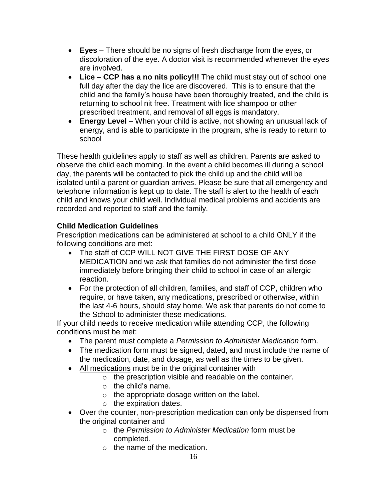- **Eyes**  There should be no signs of fresh discharge from the eyes, or discoloration of the eye. A doctor visit is recommended whenever the eyes are involved.
- **Lice CCP has a no nits policy!!!** The child must stay out of school one full day after the day the lice are discovered. This is to ensure that the child and the family's house have been thoroughly treated, and the child is returning to school nit free. Treatment with lice shampoo or other prescribed treatment, and removal of all eggs is mandatory.
- **Energy Level** When your child is active, not showing an unusual lack of energy, and is able to participate in the program, s/he is ready to return to school

These health guidelines apply to staff as well as children. Parents are asked to observe the child each morning. In the event a child becomes ill during a school day, the parents will be contacted to pick the child up and the child will be isolated until a parent or guardian arrives. Please be sure that all emergency and telephone information is kept up to date. The staff is alert to the health of each child and knows your child well. Individual medical problems and accidents are recorded and reported to staff and the family.

# **Child Medication Guidelines**

Prescription medications can be administered at school to a child ONLY if the following conditions are met:

- The staff of CCP WILL NOT GIVE THE FIRST DOSE OF ANY MEDICATION and we ask that families do not administer the first dose immediately before bringing their child to school in case of an allergic reaction.
- For the protection of all children, families, and staff of CCP, children who require, or have taken, any medications, prescribed or otherwise, within the last 4-6 hours, should stay home. We ask that parents do not come to the School to administer these medications.

If your child needs to receive medication while attending CCP, the following conditions must be met:

- The parent must complete a *Permission to Administer Medication* form.
- The medication form must be signed, dated, and must include the name of the medication, date, and dosage, as well as the times to be given.
- All medications must be in the original container with
	- o the prescription visible and readable on the container.
	- $\circ$  the child's name.
	- $\circ$  the appropriate dosage written on the label.
	- $\circ$  the expiration dates.
- Over the counter, non-prescription medication can only be dispensed from the original container and
	- o the *Permission to Administer Medication* form must be completed.
	- $\circ$  the name of the medication.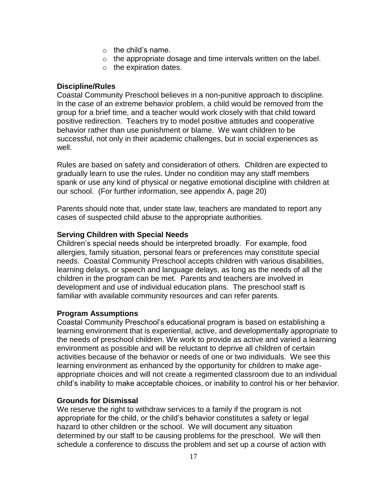- $\circ$  the child's name.
- o the appropriate dosage and time intervals written on the label.
- o the expiration dates.

### **Discipline/Rules**

Coastal Community Preschool believes in a non-punitive approach to discipline. In the case of an extreme behavior problem, a child would be removed from the group for a brief time, and a teacher would work closely with that child toward positive redirection. Teachers try to model positive attitudes and cooperative behavior rather than use punishment or blame. We want children to be successful, not only in their academic challenges, but in social experiences as well.

Rules are based on safety and consideration of others. Children are expected to gradually learn to use the rules. Under no condition may any staff members spank or use any kind of physical or negative emotional discipline with children at our school. (For further information, see appendix A, page 20)

Parents should note that, under state law, teachers are mandated to report any cases of suspected child abuse to the appropriate authorities.

# **Serving Children with Special Needs**

Children's special needs should be interpreted broadly. For example, food allergies, family situation, personal fears or preferences may constitute special needs. Coastal Community Preschool accepts children with various disabilities, learning delays, or speech and language delays, as long as the needs of all the children in the program can be met. Parents and teachers are involved in development and use of individual education plans. The preschool staff is familiar with available community resources and can refer parents.

#### **Program Assumptions**

Coastal Community Preschool's educational program is based on establishing a learning environment that is experiential, active, and developmentally appropriate to the needs of preschool children. We work to provide as active and varied a learning environment as possible and will be reluctant to deprive all children of certain activities because of the behavior or needs of one or two individuals. We see this learning environment as enhanced by the opportunity for children to make ageappropriate choices and will not create a regimented classroom due to an individual child's inability to make acceptable choices, or inability to control his or her behavior.

#### **Grounds for Dismissal**

We reserve the right to withdraw services to a family if the program is not appropriate for the child, or the child's behavior constitutes a safety or legal hazard to other children or the school. We will document any situation determined by our staff to be causing problems for the preschool. We will then schedule a conference to discuss the problem and set up a course of action with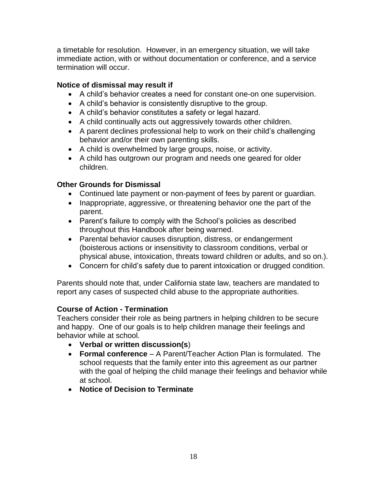a timetable for resolution. However, in an emergency situation, we will take immediate action, with or without documentation or conference, and a service termination will occur.

# **Notice of dismissal may result if**

- A child's behavior creates a need for constant one-on one supervision.
- A child's behavior is consistently disruptive to the group.
- A child's behavior constitutes a safety or legal hazard.
- A child continually acts out aggressively towards other children.
- A parent declines professional help to work on their child's challenging behavior and/or their own parenting skills.
- A child is overwhelmed by large groups, noise, or activity.
- A child has outgrown our program and needs one geared for older children.

# **Other Grounds for Dismissal**

- Continued late payment or non-payment of fees by parent or guardian.
- Inappropriate, aggressive, or threatening behavior one the part of the parent.
- Parent's failure to comply with the School's policies as described throughout this Handbook after being warned.
- Parental behavior causes disruption, distress, or endangerment (boisterous actions or insensitivity to classroom conditions, verbal or physical abuse, intoxication, threats toward children or adults, and so on.).
- Concern for child's safety due to parent intoxication or drugged condition.

Parents should note that, under California state law, teachers are mandated to report any cases of suspected child abuse to the appropriate authorities.

# **Course of Action - Termination**

Teachers consider their role as being partners in helping children to be secure and happy. One of our goals is to help children manage their feelings and behavior while at school.

- **Verbal or written discussion(s**)
- **Formal conference** A Parent/Teacher Action Plan is formulated. The school requests that the family enter into this agreement as our partner with the goal of helping the child manage their feelings and behavior while at school.
- **Notice of Decision to Terminate**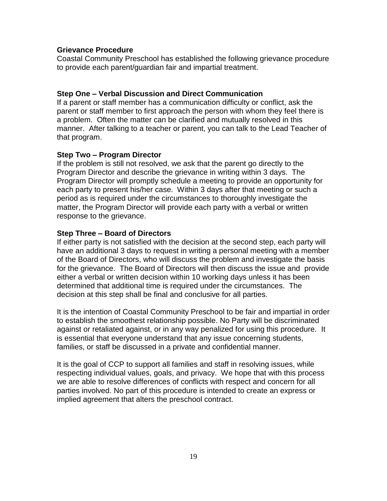#### **Grievance Procedure**

Coastal Community Preschool has established the following grievance procedure to provide each parent/guardian fair and impartial treatment.

#### **Step One – Verbal Discussion and Direct Communication**

If a parent or staff member has a communication difficulty or conflict, ask the parent or staff member to first approach the person with whom they feel there is a problem. Often the matter can be clarified and mutually resolved in this manner. After talking to a teacher or parent, you can talk to the Lead Teacher of that program.

#### **Step Two – Program Director**

If the problem is still not resolved, we ask that the parent go directly to the Program Director and describe the grievance in writing within 3 days. The Program Director will promptly schedule a meeting to provide an opportunity for each party to present his/her case. Within 3 days after that meeting or such a period as is required under the circumstances to thoroughly investigate the matter, the Program Director will provide each party with a verbal or written response to the grievance.

### **Step Three – Board of Directors**

If either party is not satisfied with the decision at the second step, each party will have an additional 3 days to request in writing a personal meeting with a member of the Board of Directors, who will discuss the problem and investigate the basis for the grievance. The Board of Directors will then discuss the issue and provide either a verbal or written decision within 10 working days unless it has been determined that additional time is required under the circumstances. The decision at this step shall be final and conclusive for all parties.

It is the intention of Coastal Community Preschool to be fair and impartial in order to establish the smoothest relationship possible. No Party will be discriminated against or retaliated against, or in any way penalized for using this procedure. It is essential that everyone understand that any issue concerning students, families, or staff be discussed in a private and confidential manner.

It is the goal of CCP to support all families and staff in resolving issues, while respecting individual values, goals, and privacy. We hope that with this process we are able to resolve differences of conflicts with respect and concern for all parties involved. No part of this procedure is intended to create an express or implied agreement that alters the preschool contract.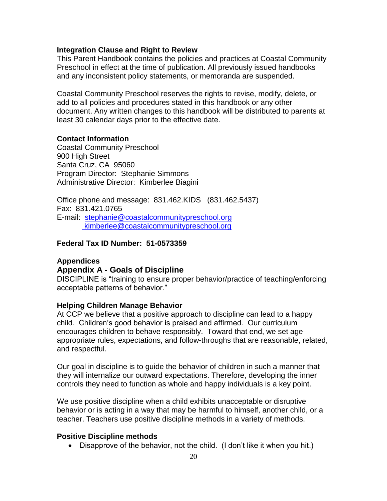#### **Integration Clause and Right to Review**

This Parent Handbook contains the policies and practices at Coastal Community Preschool in effect at the time of publication. All previously issued handbooks and any inconsistent policy statements, or memoranda are suspended.

Coastal Community Preschool reserves the rights to revise, modify, delete, or add to all policies and procedures stated in this handbook or any other document. Any written changes to this handbook will be distributed to parents at least 30 calendar days prior to the effective date.

#### **Contact Information**

Coastal Community Preschool 900 High Street Santa Cruz, CA 95060 Program Director: Stephanie Simmons Administrative Director: Kimberlee Biagini

Office phone and message: 831.462.KIDS (831.462.5437) Fax: 831.421.0765 E-mail: [stephanie@coastalcommunitypreschool.org](mailto:stephanie@coastalcommunitypreschool.org) [kimberlee@coastalcommunitypreschool.org](mailto:kimberlee@coastalcommunitypreschool.org)

### **Federal Tax ID Number: 51-0573359**

#### **Appendices Appendix A - Goals of Discipline**

DISCIPLINE is "training to ensure proper behavior/practice of teaching/enforcing acceptable patterns of behavior."

#### **Helping Children Manage Behavior**

At CCP we believe that a positive approach to discipline can lead to a happy child. Children's good behavior is praised and affirmed. Our curriculum encourages children to behave responsibly. Toward that end, we set ageappropriate rules, expectations, and follow-throughs that are reasonable, related, and respectful.

Our goal in discipline is to guide the behavior of children in such a manner that they will internalize our outward expectations. Therefore, developing the inner controls they need to function as whole and happy individuals is a key point.

We use positive discipline when a child exhibits unacceptable or disruptive behavior or is acting in a way that may be harmful to himself, another child, or a teacher. Teachers use positive discipline methods in a variety of methods.

#### **Positive Discipline methods**

• Disapprove of the behavior, not the child. (I don't like it when you hit.)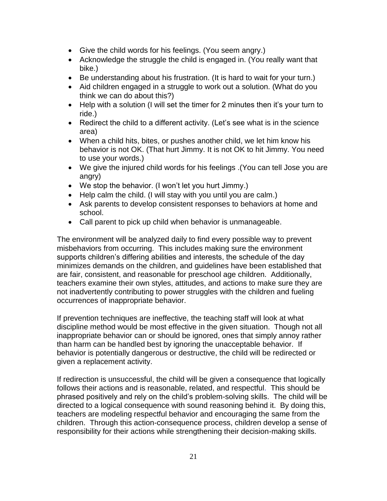- Give the child words for his feelings. (You seem angry.)
- Acknowledge the struggle the child is engaged in. (You really want that bike.)
- Be understanding about his frustration. (It is hard to wait for your turn.)
- Aid children engaged in a struggle to work out a solution. (What do you think we can do about this?)
- Help with a solution (I will set the timer for 2 minutes then it's your turn to ride.)
- Redirect the child to a different activity. (Let's see what is in the science area)
- When a child hits, bites, or pushes another child, we let him know his behavior is not OK. (That hurt Jimmy. It is not OK to hit Jimmy. You need to use your words.)
- We give the injured child words for his feelings .(You can tell Jose you are angry)
- We stop the behavior. (I won't let you hurt Jimmy.)
- Help calm the child. (I will stay with you until you are calm.)
- Ask parents to develop consistent responses to behaviors at home and school.
- Call parent to pick up child when behavior is unmanageable.

The environment will be analyzed daily to find every possible way to prevent misbehaviors from occurring. This includes making sure the environment supports children's differing abilities and interests, the schedule of the day minimizes demands on the children, and guidelines have been established that are fair, consistent, and reasonable for preschool age children. Additionally, teachers examine their own styles, attitudes, and actions to make sure they are not inadvertently contributing to power struggles with the children and fueling occurrences of inappropriate behavior.

If prevention techniques are ineffective, the teaching staff will look at what discipline method would be most effective in the given situation. Though not all inappropriate behavior can or should be ignored, ones that simply annoy rather than harm can be handled best by ignoring the unacceptable behavior. If behavior is potentially dangerous or destructive, the child will be redirected or given a replacement activity.

If redirection is unsuccessful, the child will be given a consequence that logically follows their actions and is reasonable, related, and respectful. This should be phrased positively and rely on the child's problem-solving skills. The child will be directed to a logical consequence with sound reasoning behind it. By doing this, teachers are modeling respectful behavior and encouraging the same from the children. Through this action-consequence process, children develop a sense of responsibility for their actions while strengthening their decision-making skills.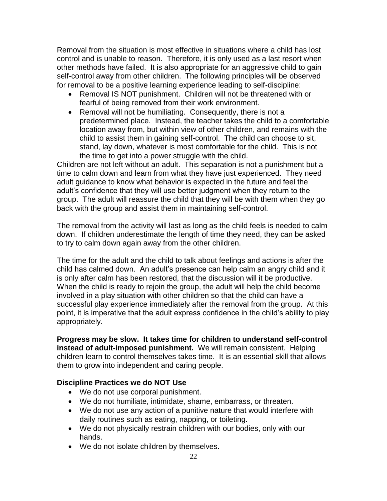Removal from the situation is most effective in situations where a child has lost control and is unable to reason. Therefore, it is only used as a last resort when other methods have failed. It is also appropriate for an aggressive child to gain self-control away from other children. The following principles will be observed for removal to be a positive learning experience leading to self-discipline:

- Removal IS NOT punishment. Children will not be threatened with or fearful of being removed from their work environment.
- Removal will not be humiliating. Consequently, there is not a predetermined place. Instead, the teacher takes the child to a comfortable location away from, but within view of other children, and remains with the child to assist them in gaining self-control. The child can choose to sit, stand, lay down, whatever is most comfortable for the child. This is not the time to get into a power struggle with the child.

Children are not left without an adult. This separation is not a punishment but a time to calm down and learn from what they have just experienced. They need adult guidance to know what behavior is expected in the future and feel the adult's confidence that they will use better judgment when they return to the group. The adult will reassure the child that they will be with them when they go back with the group and assist them in maintaining self-control.

The removal from the activity will last as long as the child feels is needed to calm down. If children underestimate the length of time they need, they can be asked to try to calm down again away from the other children.

The time for the adult and the child to talk about feelings and actions is after the child has calmed down. An adult's presence can help calm an angry child and it is only after calm has been restored, that the discussion will it be productive. When the child is ready to rejoin the group, the adult will help the child become involved in a play situation with other children so that the child can have a successful play experience immediately after the removal from the group. At this point, it is imperative that the adult express confidence in the child's ability to play appropriately.

**Progress may be slow. It takes time for children to understand self-control instead of adult-imposed punishment.** We will remain consistent. Helping children learn to control themselves takes time. It is an essential skill that allows them to grow into independent and caring people.

# **Discipline Practices we do NOT Use**

- We do not use corporal punishment.
- We do not humiliate, intimidate, shame, embarrass, or threaten.
- We do not use any action of a punitive nature that would interfere with daily routines such as eating, napping, or toileting.
- We do not physically restrain children with our bodies, only with our hands.
- We do not isolate children by themselves.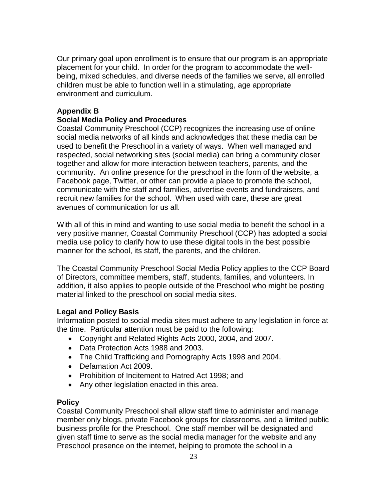Our primary goal upon enrollment is to ensure that our program is an appropriate placement for your child. In order for the program to accommodate the wellbeing, mixed schedules, and diverse needs of the families we serve, all enrolled children must be able to function well in a stimulating, age appropriate environment and curriculum.

# **Appendix B**

# **Social Media Policy and Procedures**

Coastal Community Preschool (CCP) recognizes the increasing use of online social media networks of all kinds and acknowledges that these media can be used to benefit the Preschool in a variety of ways. When well managed and respected, social networking sites (social media) can bring a community closer together and allow for more interaction between teachers, parents, and the community. An online presence for the preschool in the form of the website, a Facebook page, Twitter, or other can provide a place to promote the school, communicate with the staff and families, advertise events and fundraisers, and recruit new families for the school. When used with care, these are great avenues of communication for us all.

With all of this in mind and wanting to use social media to benefit the school in a very positive manner, Coastal Community Preschool (CCP) has adopted a social media use policy to clarify how to use these digital tools in the best possible manner for the school, its staff, the parents, and the children.

The Coastal Community Preschool Social Media Policy applies to the CCP Board of Directors, committee members, staff, students, families, and volunteers. In addition, it also applies to people outside of the Preschool who might be posting material linked to the preschool on social media sites.

#### **Legal and Policy Basis**

Information posted to social media sites must adhere to any legislation in force at the time. Particular attention must be paid to the following:

- Copyright and Related Rights Acts 2000, 2004, and 2007.
- Data Protection Acts 1988 and 2003.
- The Child Trafficking and Pornography Acts 1998 and 2004.
- Defamation Act 2009.
- Prohibition of Incitement to Hatred Act 1998; and
- Any other legislation enacted in this area.

#### **Policy**

Coastal Community Preschool shall allow staff time to administer and manage member only blogs, private Facebook groups for classrooms, and a limited public business profile for the Preschool. One staff member will be designated and given staff time to serve as the social media manager for the website and any Preschool presence on the internet, helping to promote the school in a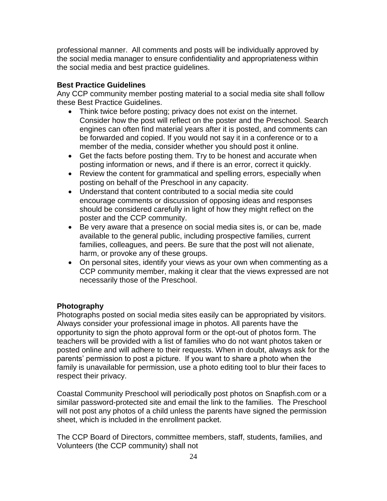professional manner. All comments and posts will be individually approved by the social media manager to ensure confidentiality and appropriateness within the social media and best practice guidelines.

# **Best Practice Guidelines**

Any CCP community member posting material to a social media site shall follow these Best Practice Guidelines.

- Think twice before posting; privacy does not exist on the internet. Consider how the post will reflect on the poster and the Preschool. Search engines can often find material years after it is posted, and comments can be forwarded and copied. If you would not say it in a conference or to a member of the media, consider whether you should post it online.
- Get the facts before posting them. Try to be honest and accurate when posting information or news, and if there is an error, correct it quickly.
- Review the content for grammatical and spelling errors, especially when posting on behalf of the Preschool in any capacity.
- Understand that content contributed to a social media site could encourage comments or discussion of opposing ideas and responses should be considered carefully in light of how they might reflect on the poster and the CCP community.
- Be very aware that a presence on social media sites is, or can be, made available to the general public, including prospective families, current families, colleagues, and peers. Be sure that the post will not alienate, harm, or provoke any of these groups.
- On personal sites, identify your views as your own when commenting as a CCP community member, making it clear that the views expressed are not necessarily those of the Preschool.

# **Photography**

Photographs posted on social media sites easily can be appropriated by visitors. Always consider your professional image in photos. All parents have the opportunity to sign the photo approval form or the opt-out of photos form. The teachers will be provided with a list of families who do not want photos taken or posted online and will adhere to their requests. When in doubt, always ask for the parents' permission to post a picture. If you want to share a photo when the family is unavailable for permission, use a photo editing tool to blur their faces to respect their privacy.

Coastal Community Preschool will periodically post photos on Snapfish.com or a similar password-protected site and email the link to the families. The Preschool will not post any photos of a child unless the parents have signed the permission sheet, which is included in the enrollment packet.

The CCP Board of Directors, committee members, staff, students, families, and Volunteers (the CCP community) shall not